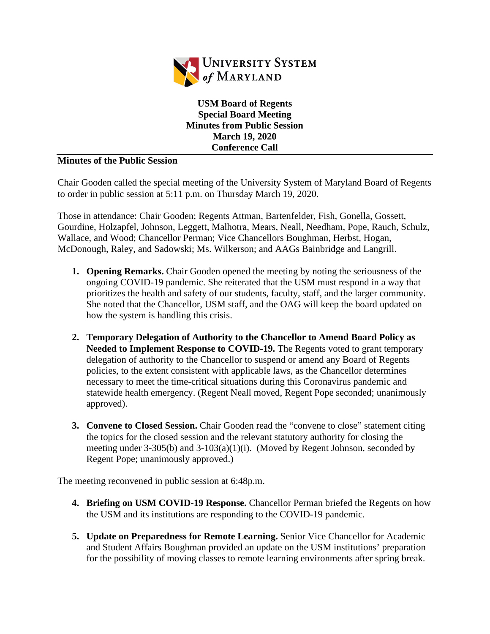

**USM Board of Regents Special Board Meeting Minutes from Public Session March 19, 2020 Conference Call**

## **Minutes of the Public Session**

Chair Gooden called the special meeting of the University System of Maryland Board of Regents to order in public session at 5:11 p.m. on Thursday March 19, 2020.

Those in attendance: Chair Gooden; Regents Attman, Bartenfelder, Fish, Gonella, Gossett, Gourdine, Holzapfel, Johnson, Leggett, Malhotra, Mears, Neall, Needham, Pope, Rauch, Schulz, Wallace, and Wood; Chancellor Perman; Vice Chancellors Boughman, Herbst, Hogan, McDonough, Raley, and Sadowski; Ms. Wilkerson; and AAGs Bainbridge and Langrill.

- **1. Opening Remarks.** Chair Gooden opened the meeting by noting the seriousness of the ongoing COVID-19 pandemic. She reiterated that the USM must respond in a way that prioritizes the health and safety of our students, faculty, staff, and the larger community. She noted that the Chancellor, USM staff, and the OAG will keep the board updated on how the system is handling this crisis.
- **2. Temporary Delegation of Authority to the Chancellor to Amend Board Policy as Needed to Implement Response to COVID-19.** The Regents voted to grant temporary delegation of authority to the Chancellor to suspend or amend any Board of Regents policies, to the extent consistent with applicable laws, as the Chancellor determines necessary to meet the time-critical situations during this Coronavirus pandemic and statewide health emergency. (Regent Neall moved, Regent Pope seconded; unanimously approved).
- **3. Convene to Closed Session.** Chair Gooden read the "convene to close" statement citing the topics for the closed session and the relevant statutory authority for closing the meeting under 3-305(b) and 3-103(a)(1)(i). (Moved by Regent Johnson, seconded by Regent Pope; unanimously approved.)

The meeting reconvened in public session at 6:48p.m.

- **4. Briefing on USM COVID-19 Response.** Chancellor Perman briefed the Regents on how the USM and its institutions are responding to the COVID-19 pandemic.
- **5. Update on Preparedness for Remote Learning.** Senior Vice Chancellor for Academic and Student Affairs Boughman provided an update on the USM institutions' preparation for the possibility of moving classes to remote learning environments after spring break.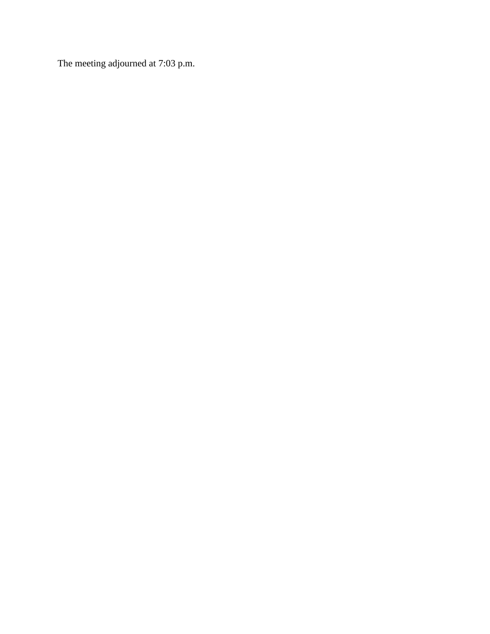The meeting adjourned at 7:03 p.m.